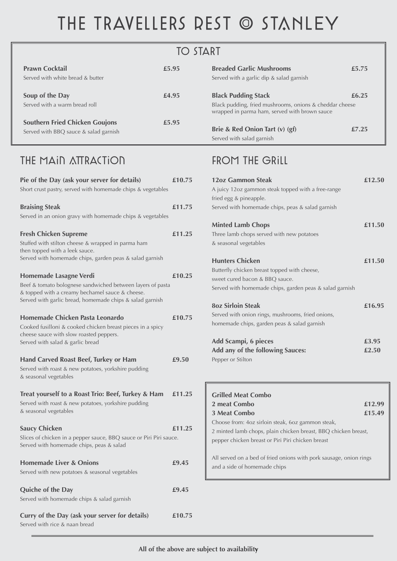# THE TRAVELLERS REST @ STANLEY

# **TO START**

| <b>12oz Gammon Steak</b><br>A juicy 12oz gammon steak topped with a free-range<br>fried egg & pineapple.<br>Served with homemade chips, peas & salad garnish        | £12.50         |
|---------------------------------------------------------------------------------------------------------------------------------------------------------------------|----------------|
| <b>Minted Lamb Chops</b><br>Three lamb chops served with new potatoes<br>& seasonal vegetables                                                                      | £11.50         |
| <b>Hunters Chicken</b><br>Butterfly chicken breast topped with cheese,<br>sweet cured bacon & BBQ sauce.<br>Served with homemade chips, garden peas & salad garnish | £11.50         |
| <b>8oz Sirloin Steak</b><br>Served with onion rings, mushrooms, fried onions,<br>homemade chips, garden peas & salad garnish                                        | £16.95         |
| <b>Add Scampi, 6 pieces</b><br>Add any of the following Sauces:<br>Pepper or Stilton                                                                                | £3.95<br>£2.50 |
| <b>Grilled Meat Combo</b><br>2 meat Combo                                                                                                                           | £12.99         |

**3 Meat Combo £15.49**

Choose from: 4oz sirloin steak, 6oz gammon steak, 2 minted lamb chops, plain chicken breast, BBQ chicken breast, pepper chicken breast or Piri Piri chicken breast

All served on a bed of fried onions with pork sausage, onion rings and a side of homemade chips

**Quiche of the Day** *£9.45* Served with homemade chips & salad garnish

| Pie of the Day (ask your server for details)<br>Short crust pastry, served with homemade chips & vegetables                                                                                         | £10.75 |
|-----------------------------------------------------------------------------------------------------------------------------------------------------------------------------------------------------|--------|
| <b>Braising Steak</b><br>Served in an onion gravy with homemade chips & vegetables                                                                                                                  | £11.75 |
| <b>Fresh Chicken Supreme</b><br>Stuffed with stilton cheese & wrapped in parma ham<br>then topped with a leek sauce.<br>Served with homemade chips, garden peas & salad garnish                     | £11.25 |
| Homemade Lasagne Verdi<br>Beef & tomato bolognese sandwiched between layers of pasta<br>& topped with a creamy bechamel sauce & cheese.<br>Served with garlic bread, homemade chips & salad garnish | £10.25 |
| Homemade Chicken Pasta Leonardo<br>Cooked fusilloni & cooked chicken breast pieces in a spicy<br>cheese sauce with slow roasted peppers.<br>Served with salad & garlic bread                        | £10.75 |
| <b>Hand Carved Roast Beef, Turkey or Ham</b><br>Served with roast & new potatoes, yorkshire pudding<br>& seasonal vegetables                                                                        | £9.50  |
| Treat yourself to a Roast Trio: Beef, Turkey & Ham<br>Served with roast & new potatoes, yorkshire pudding<br>& seasonal vegetables                                                                  | £11.25 |

# FROM THE GRILL

#### **Saucy Chicken £11.25**

Slices of chicken in a pepper sauce, BBQ sauce or Piri Piri sauce. Served with homemade chips, peas & salad

**Homemade Liver & Onions E9.45** 

Served with new potatoes & seasonal vegetables

**Curry of the Day (ask your server for details) £10.75** Served with rice & naan bread

**All of the above are subject to availability**

| <b>Prawn Cocktail</b><br>Served with white bread & butter                      | £5.95 | <b>Breaded Garlic Mushrooms</b><br>Served with a garlic dip & salad garnish                                                            | £5.75 |
|--------------------------------------------------------------------------------|-------|----------------------------------------------------------------------------------------------------------------------------------------|-------|
| Soup of the Day<br>Served with a warm bread roll                               | £4.95 | <b>Black Pudding Stack</b><br>Black pudding, fried mushrooms, onions & cheddar cheese<br>wrapped in parma ham, served with brown sauce | £6.25 |
| <b>Southern Fried Chicken Goujons</b><br>Served with BBQ sauce & salad garnish | £5.95 | Brie & Red Onion Tart (v) (gf)<br>Served with salad garnish                                                                            | £7.25 |

### THE MAIN ATTRACTION